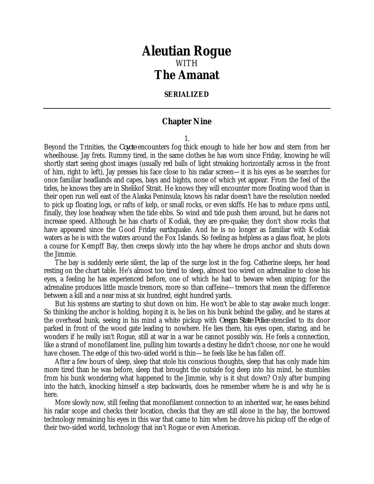## *Aleutian Rogue* WITH *The Amanat*

## **SERIALIZED**

## **Chapter Nine**

1.

Beyond the Trinities, the *Coyote* encounters fog thick enough to hide her bow and stern from her wheelhouse. Jay frets. Rummy tired, in the same clothes he has worn since Friday, knowing he will shortly start seeing ghost images (usually red balls of light streaking horizontally across in the front of him, right to left), Jay presses his face close to his radar screen—it is his eyes as he searches for once familiar headlands and capes, bays and bights, none of which yet appear. From the feel of the tides, he knows they are in Shelikof Strait. He knows they will encounter more floating wood than in their open run well east of the Alaska Peninsula; knows his radar doesn't have the resolution needed to pick up floating logs, or rafts of kelp, or small rocks, or even skiffs. He has to reduce rpms until, finally, they lose headway when the tide ebbs. So wind and tide push them around, but he dares not increase speed. Although he has charts of Kodiak, they are pre-quake; they don't show rocks that have appeared since the Good Friday earthquake. And he is no longer as familiar with Kodiak waters as he is with the waters around the Fox Islands. So feeling as helpless as a glass float, he plots a course for Kempff Bay, then creeps slowly into the bay where he drops anchor and shuts down the Jimmie.

The bay is suddenly eerie silent, the lap of the surge lost in the fog. Catherine sleeps, her head resting on the chart table. He's almost too tired to sleep, almost too wired on adrenaline to close his eyes, a feeling he has experienced before, one of which he had to beware when sniping; for the adrenaline produces little muscle tremors, more so than caffeine—tremors that mean the difference between a kill and a near miss at six hundred, eight hundred yards.

But his systems are starting to shut down on him. He won't be able to stay awake much longer. So thinking the anchor is holding, hoping it is, he lies on his bunk behind the galley, and he stares at the overhead bunk, seeing in his mind a white pickup with *Oregon State Police* stenciled to its door parked in front of the wood gate leading to nowhere. He lies there, his eyes open, staring, and he wonders if he really isn't Rogue, still at war in a war he cannot possibly win. He feels a connection, like a strand of monofilament line, pulling him towards a destiny he didn't choose, nor one he would have chosen. The edge of this two-sided world is thin—he feels like he has fallen off.

After a few hours of sleep, sleep that stole his conscious thoughts, sleep that has only made him more tired than he was before, sleep that brought the outside fog deep into his mind, he stumbles from his bunk wondering what happened to the Jimmie, why is it shut down? Only after bumping into the hatch, knocking himself a step backwards, does he remember where he is and why he is here.

More slowly now, still feeling that monofilament connection to an inherited war, he eases behind his radar scope and checks their location, checks that they are still alone in the bay, the borrowed technology remaining his eyes in this war that came to him when he drove his pickup off the edge of their two-sided world, technology that isn't Rogue or even American.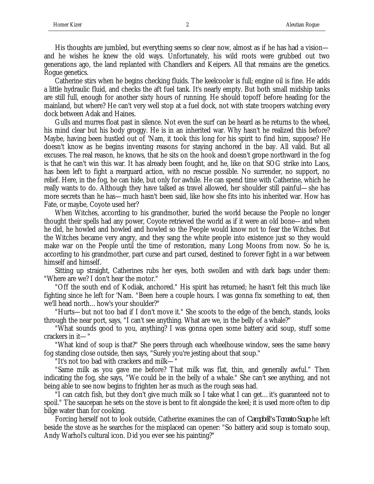His thoughts are jumbled, but everything seems so clear now, almost as if he has had a vision and he wishes he knew the old ways. Unfortunately, his wild roots were grubbed out two generations ago, the land replanted with Chandlers and Keipers. All that remains are the genetics. Rogue genetics.

Catherine stirs when he begins checking fluids. The keelcooler is full; engine oil is fine. He adds a little hydraulic fluid, and checks the aft fuel tank. It's nearly empty. But both small midship tanks are still full, enough for another sixty hours of running. He should topoff before heading for the mainland, but where? He can't very well stop at a fuel dock, not with state troopers watching every dock between Adak and Haines.

Gulls and murres float past in silence. Not even the surf can be heard as he returns to the wheel, his mind clear but his body groggy. He is in an inherited war. Why hasn't he realized this before? Maybe, having been hustled out of 'Nam, it took this long for his spirit to find him, suppose? He doesn't know as he begins inventing reasons for staying anchored in the bay. All valid. But all excuses. The real reason, he knows, that he sits on the hook and doesn't grope northward in the fog is that he can't win this war. It has already been fought, and he, like on that SOG strike into Laos, has been left to fight a rearguard action, with no rescue possible. No surrender, no support, no relief. Here, in the fog, he can hide, but only for awhile. He can spend time with Catherine, which he really wants to do. Although they have talked as travel allowed, her shoulder still painful—she has more secrets than he has—much hasn't been said, like how she fits into his inherited war. How has Fate, or maybe, Coyote used her?

When Witches, according to his grandmother, buried the world because the People no longer thought their spells had any power, Coyote retrieved the world as if it were an old bone—and when he did, he howled and howled and howled so the People would know not to fear the Witches. But the Witches became very angry, and they sang the white people into existence just so they would make war on the People until the time of restoration, many Long Moons from now. So he is, according to his grandmother, part curse and part cursed, destined to forever fight in a war between himself and himself.

Sitting up straight, Catherines rubs her eyes, both swollen and with dark bags under them: "Where are we? I don't hear the motor."

"Off the south end of Kodiak, anchored." His spirit has returned; he hasn't felt this much like fighting since he left for 'Nam. "Been here a couple hours. I was gonna fix something to eat, then we'll head north…how's your shoulder?"

"Hurts—but not too bad if I don't move it." She scoots to the edge of the bench, stands, looks through the near port, says, "I can't see anything. What are we, in the belly of a whale?"

"What sounds good to you, anything? I was gonna open some battery acid soup, stuff some crackers in it—"

"What kind of soup is that?" She peers through each wheelhouse window, sees the same heavy fog standing close outside, then says, "Surely you're jesting about that soup."

"It's not too bad with crackers and milk—"

"Same milk as you gave me before? That milk was flat, thin, and generally awful." Then indicating the fog, she says, "We could be in the belly of a whale." She can't see anything, and not being able to see now begins to frighten her as much as the rough seas had.

"I can catch fish, but they don't give much milk so I take what I can get…it's guaranteed not to spoil." The saucepan he sets on the stove is bent to fit alongside the keel; it is used more often to dip bilge water than for cooking.

Forcing herself not to look outside, Catherine examines the can of *Campbell's Tomato Soup* he left beside the stove as he searches for the misplaced can opener: "So battery acid soup is tomato soup, Andy Warhol's cultural icon. Did you ever see his painting?"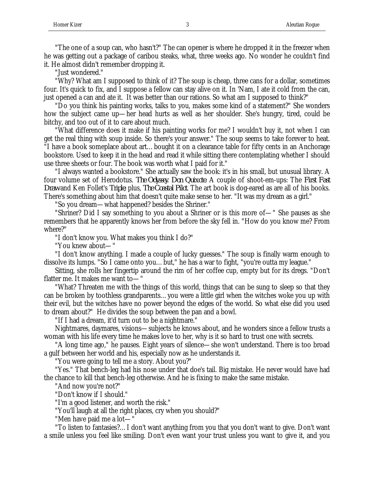"The one of a soup can, who hasn't?" The can opener is where he dropped it in the freezer when he was getting out a package of caribou steaks, what, three weeks ago. No wonder he couldn't find it. He almost didn't remember dropping it.

"Just wondered."

"Why? What am I supposed to think of it? The soup is cheap, three cans for a dollar, sometimes four. It's quick to fix, and I suppose a fellow can stay alive on it. In 'Nam, I ate it cold from the can, just opened a can and ate it. It was better than our rations. So what am I supposed to think?"

"Do you think his painting works, talks to you, makes some kind of a statement?" She wonders how the subject came up—her head hurts as well as her shoulder. She's hungry, tired, could be bitchy, and too out of it to care about much.

"What difference does it make if his painting works for me? I wouldn't buy it, not when I can get the real thing with soup inside. So there's your answer." The soup seems to take forever to heat. "I have a book someplace about art…bought it on a clearance table for fifty cents in an Anchorage bookstore. Used to keep it in the head and read it while sitting there contemplating whether I should use three sheets or four. The book was worth what I paid for it."

"I always wanted a bookstore." She actually saw the book: it's in his small, but unusual library. A four volume set of Herodotus. *The Odyssey*. *Don Quixote*. A couple of shoot-em-ups: The *First Fast Draw* and Ken Follet's *Triple*; plus, *The Coastal Pilot*. The art book is dog-eared as are all of his books. There's something about him that doesn't quite make sense to her. "It was my dream as a girl."

"So you dream—what happened? besides the Shriner."

"Shriner? Did I say something to you about a Shriner or is this more of—" She pauses as she remembers that he apparently knows her from before the sky fell in. "How do you know me? From where?"

"I don't know you. What makes you think I do?"

"You knew about—"

"I don't know anything. I made a couple of lucky guesses." The soup is finally warm enough to dissolve its lumps. "So I came onto you…but," he has a war to fight, "you're outta my league."

Sitting, she rolls her fingertip around the rim of her coffee cup, empty but for its dregs. "Don't flatter me. It makes me want to—"

"What? Threaten me with the things of this world, things that can be sung to sleep so that they can be broken by toothless grandparents…you were a little girl when the witches woke you up with their evil, but the witches have no power beyond the edges of the world. So what else did you used to dream about?" He divides the soup between the pan and a bowl.

"If I had a dream, it'd turn out to be a nightmare."

Nightmares, daymares, visions—subjects he knows about, and he wonders since a fellow trusts a woman with his life every time he makes love to her, why is it so hard to trust one with secrets.

"A long time ago," he pauses. Eight years of silence—she won't understand. There is too broad a gulf between her world and his, especially now as he understands it.

"You were going to tell me a story. About you?"

"Yes." That bench-leg had his nose under that doe's tail. Big mistake. He never would have had the chance to kill that bench-leg otherwise. And he is fixing to make the same mistake.

"And now you're not?"

"Don't know if I should."

"I'm a good listener, and worth the risk."

"You'll laugh at all the right places, cry when you should?"

"Men have paid me a lot—"

"To listen to fantasies?…I don't want anything from you that you don't want to give. Don't want a smile unless you feel like smiling. Don't even want your trust unless you want to give it, and you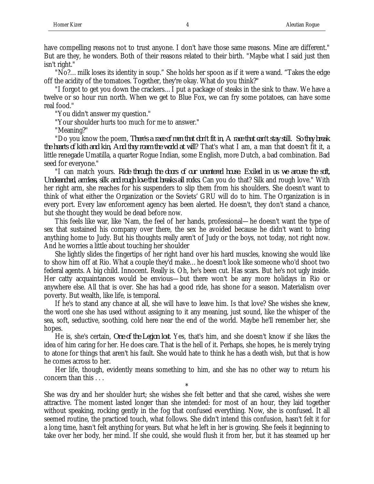"No?…milk loses its identity in soup." She holds her spoon as if it were a wand. "Takes the edge off the acidity of the tomatoes. Together, they're okay. What do you think?"

"I forgot to get you down the crackers…I put a package of steaks in the sink to thaw. We have a twelve or so hour run north. When we get to Blue Fox, we can fry some potatoes, can have some real food."

"You didn't answer my question."

"Your shoulder hurts too much for me to answer."

"Meaning?"

"Do you know the poem, *There's a race of men that don't fit in, A race that can't stay still. So they break the hearts of kith and kin, And they roam the world at will*? That's what I am, a man that doesn't fit it, a little renegade Umatilla, a quarter Rogue Indian, some English, more Dutch, a bad combination. Bad seed for everyone."

"I can match yours. *Ride through the doors of our unentered house. Exiled in us we arouse the soft, Uncleanched, armless, silk and rough love that breaks all rocks.* Can you do that? Silk and rough love." With her right arm, she reaches for his suspenders to slip them from his shoulders. She doesn't want to think of what either the Organization or the Soviets' GRU will do to him. The Organization is in every port. Every law enforcement agency has been alerted. He doesn't, they don't stand a chance, but she thought they would be dead before now.

This feels like war, like 'Nam, the feel of her hands, professional—he doesn't want the type of sex that sustained his company over there, the sex he avoided because he didn't want to bring anything home to Judy. But his thoughts really aren't of Judy or the boys, not today, not right now. And he worries a little about touching her shoulder

She lightly slides the fingertips of her right hand over his hard muscles, knowing she would like to show him off at Rio. What a couple they'd make…he doesn't look like someone who'd shoot two federal agents. A big child. Innocent. Really is. Oh, he's been cut. Has scars. But he's not ugly inside. Her catty acquaintances would be envious—but there won't be any more holidays in Rio or anywhere else. All that is over. She has had a good ride, has shone for a season. Materialism over poverty. But wealth, like life, is temporal.

If he's to stand any chance at all, she will have to leave him. Is that love? She wishes she knew, the word one she has used without assigning to it any meaning, just sound, like the whisper of the sea, soft, seductive, soothing, cold here near the end of the world. Maybe he'll remember her, she hopes.

He is, she's certain, *One of the Legion lost*. Yes, that's him, and she doesn't know if she likes the idea of him caring for her. He does care. That is the hell of it. Perhaps, she hopes, he is merely trying to atone for things that aren't his fault. She would hate to think he has a death wish, but that is how he comes across to her.

Her life, though, evidently means something to him, and she has no other way to return his concern than this . . .

\* She was dry and her shoulder hurt; she wishes she felt better and that she cared, wishes she were attractive. The moment lasted longer than she intended: for most of an hour, they laid together without speaking, rocking gently in the fog that confused everything. Now, she is confused. It all seemed routine, the practiced touch, what follows. She didn't intend this confusion, hasn't felt it for a long time, hasn't felt anything for years. But what he left in her is growing. She feels it beginning to take over her body, her mind. If she could, she would flush it from her, but it has steamed up her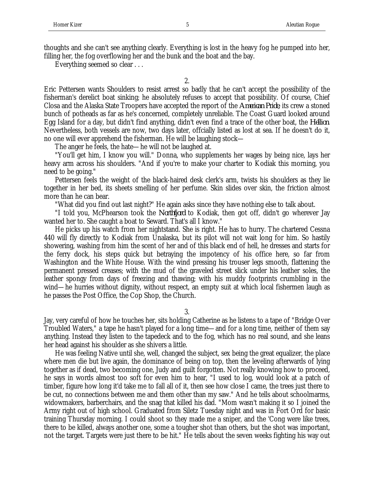thoughts and she can't see anything clearly. Everything is lost in the heavy fog he pumped into her, filling her, the fog overflowing her and the bunk and the boat and the bay.

Everything seemed so clear . . .

2.

Eric Pettersen wants Shoulders to resist arrest so badly that he can't accept the possibility of the fisherman's derelict boat sinking; he absolutely refuses to accept that possibility. Of course, Chief Closa and the Alaska State Troopers have accepted the report of the *American Pride*, its crew a stoned bunch of potheads as far as he's concerned, completely unreliable. The Coast Guard looked around Egg Island for a day, but didn't find anything, didn't even find a trace of the other boat, the *Hellion*. Nevertheless, both vessels are now, two days later, offcially listed as lost at sea. If he doesn't do it, no one will ever apprehend the fisherman. He will be laughing stock—

The anger he feels, the hate—he will not be laughed at.

"You'll get him, I know you will." Donna, who supplements her wages by being nice, lays her heavy arm across his shoulders. "And if you're to make your charter to Kodiak this morning, you need to be going."

Pettersen feels the weight of the black-haired desk clerk's arm, twists his shoulders as they lie together in her bed, its sheets smelling of her perfume. Skin slides over skin, the friction almost more than he can bear.

"What did you find out last night?" He again asks since they have nothing else to talk about.

"I told you, McPhearson took the *Northfjord* to Kodiak, then got off, didn't go wherever Jay wanted her to. She caught a boat to Seward. That's all I know."

He picks up his watch from her nightstand. She is right. He has to hurry. The chartered Cessna 440 will fly directly to Kodiak from Unalaska, but its pilot will not wait long for him. So hastily showering, washing from him the scent of her and of this black end of hell, he dresses and starts for the ferry dock, his steps quick but betraying the impotency of his office here, so far from Washington and the White House. With the wind pressing his trouser legs smooth, flattening the permanent pressed creases; with the mud of the graveled street slick under his leather soles, the leather spongy from days of freezing and thawing; with his muddy footprints crumbling in the wind—he hurries without dignity, without respect, an empty suit at which local fishermen laugh as he passes the Post Office, the Cop Shop, the Church.

3.

Jay, very careful of how he touches her, sits holding Catherine as he listens to a tape of "Bridge Over Troubled Waters," a tape he hasn't played for a long time—and for a long time, neither of them say anything. Instead they listen to the tapedeck and to the fog, which has no real sound, and she leans her head against his shoulder as she shivers a little.

He was feeling Native until she, well, changed the subject, sex being the great equalizer, the place where men die but live again, the dominance of being on top, then the leveling afterwards of lying together as if dead, two becoming one, Judy and guilt forgotten. Not really knowing how to proceed, he says in words almost too soft for even him to hear, "I used to log, would look at a patch of timber, figure how long it'd take me to fall all of it, then see how close I came, the trees just there to be cut, no connections between me and them other than my saw." And he tells about schoolmarms, widowmakers, barberchairs, and the snag that killed his dad. "Mom wasn't making it so I joined the Army right out of high school. Graduated from Siletz Tuesday night and was in Fort Ord for basic training Thursday morning. I could shoot so they made me a sniper, and the 'Cong were like trees, there to be killed, always another one, some a tougher shot than others, but the shot was important, not the target. Targets were just there to be hit." He tells about the seven weeks fighting his way out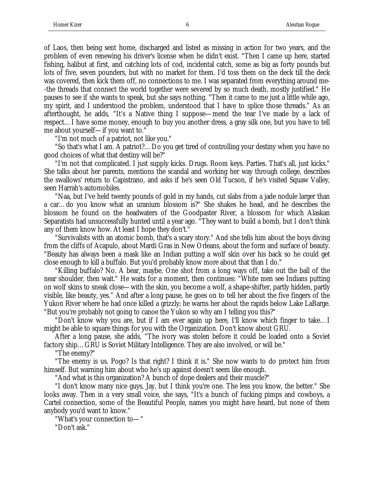of Laos, then being sent home, discharged and listed as missing in action for two years, and the problem of even renewing his driver's license when he didn't exist. "Then I came up here, started fishing, halibut at first, and catching lots of cod, incidental catch, some as big as forty pounds but lots of five, seven pounders, but with no market for them. I'd toss them on the deck till the deck was covered, then kick them off, no connections to me. I was separated from everything around me- -the threads that connect the world together were severed by so much death, mostly justified." He pauses to see if she wants to speak, but she says nothing. "Then it came to me just a little while ago, my spirit, and I understood the problem, understood that I have to splice those threads." As an afterthought, he adds, "It's a Native thing I suppose—mend the tear I've made by a lack of respect…I have some money, enough to buy you another dress, a gray silk one, but you have to tell me about yourself—if you want to."

"I'm not much of a patriot, not like you."

"So that's what I am. A patriot?…Do you get tired of controlling your destiny when you have no good choices of what that destiny will be?"

"I'm not that complicated. I just supply kicks. Drugs. Room keys. Parties. That's all, just kicks." She talks about her parents, mentions the scandal and working her way through college, describes the swallows' return to Capistrano, and asks if he's seen Old Tucson, if he's visited Squaw Valley, seen Harrah's automobiles.

"Naa, but I've held twenty pounds of gold in my hands, cut slabs from a jade nodule larger than a car…do you know what an uranium blossom is?" She shakes he head, and he describes the blossom he found on the headwaters of the Goodpaster River, a blossom for which Alaskan Separatists had unsuccessfully hunted until a year ago. "They want to build a bomb, but I don't think any of them know how. At least I hope they don't."

"Survivalists with an atomic bomb, that's a scary story." And she tells him about the boys diving from the cliffs of Acapulo, about Mardi Gras in New Orleans, about the form and surface of beauty. "Beauty has always been a mask like an Indian putting a wolf skin over his back so he could get close enough to kill a buffalo. But you'd probably know more about that than I do."

"Killing buffalo? No. A bear, maybe. One shot from a long ways off, take out the ball of the near shoulder, then wait." He waits for a moment, then continues: "White men see Indians putting on wolf skins to sneak close—with the skin, you become a wolf, a shape-shifter, partly hidden, partly visible, like beauty, yes." And after a long pause, he goes on to tell her about the five fingers of the Yukon River where he had once killed a grizzly; he warns her about the rapids below Lake LaBarge. "But you're probably not going to canoe the Yukon so why am I telling you this?"

"Don't know why you are, but if I am ever again up here, I'll know which finger to take…I might be able to square things for you with the Organization. Don't know about GRU.

After a long pause, she adds, "The ivory was stolen before it could be loaded onto a Soviet factory ship…GRU is Soviet Military Intelligence. They are also involved, or will be."

"The enemy?"

"The enemy is us. Pogo? Is that right? I think it is." She now wants to do protect him from himself. But warning him about who he's up against doesn't seem like enough.

"And what is this organization? A bunch of dope dealers and their muscle?"

"I don't know many nice guys, Jay, but I think you're one. The less you know, the better." She looks away. Then in a very small voice, she says, "It's a bunch of fucking pimps and cowboys, a Cartel connection, some of the Beautiful People, names you might have heard, but none of them anybody you'd want to know."

"What's your connection to—"

"Don't ask."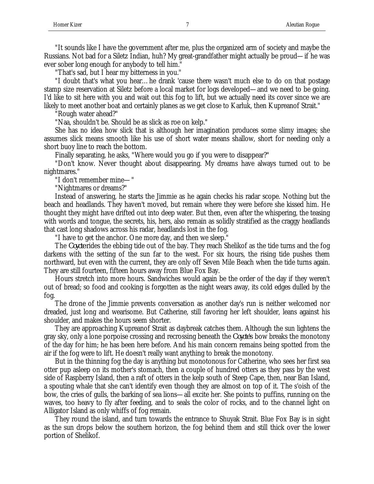"It sounds like I have the government after me, plus the organized arm of society and maybe the Russians. Not bad for a Siletz Indian, huh? My great-grandfather might actually be proud—if he was ever sober long enough for anybody to tell him."

"That's sad, but I hear my bitterness in you."

"I doubt that's what you hear…he drank 'cause there wasn't much else to do on that postage stamp size reservation at Siletz before a local market for logs developed—and we need to be going. I'd like to sit here with you and wait out this fog to lift, but we actually need its cover since we are likely to meet another boat and certainly planes as we get close to Karluk, then Kupreanof Strait."

"Rough water ahead?"

"Naa, shouldn't be. Should be as slick as roe on kelp."

She has no idea how slick that is although her imagination produces some slimy images; she assumes slick means smooth like his use of short water means shallow, short for needing only a short buoy line to reach the bottom.

Finally separating, he asks, "Where would you go if you were to disappear?"

"Don't know. Never thought about disappearing. My dreams have always turned out to be nightmares."

"I don't remember mine—"

"Nightmares or dreams?"

Instead of answering, he starts the Jimmie as he again checks his radar scope. Nothing but the beach and headlands. They haven't moved, but remain where they were before she kissed him. He thought they might have drifted out into deep water. But then, even after the whispering, the teasing with words and tongue, the secrets, his, hers, also remain as solidly stratified as the craggy headlands that cast long shadows across his radar, headlands lost in the fog.

"I have to get the anchor. One more day, and then we sleep."

The *Coyote* rides the ebbing tide out of the bay. They reach Shelikof as the tide turns and the fog darkens with the setting of the sun far to the west. For six hours, the rising tide pushes them northward, but even with the current, they are only off Seven Mile Beach when the tide turns again. They are still fourteen, fifteen hours away from Blue Fox Bay.

Hours stretch into more hours. Sandwiches would again be the order of the day if they weren't out of bread; so food and cooking is forgotten as the night wears away, its cold edges dulled by the fog.

The drone of the Jimmie prevents conversation as another day's run is neither welcomed nor dreaded, just long and wearisome. But Catherine, still favoring her left shoulder, leans against his shoulder, and makes the hours seem shorter.

They are approaching Kupreanof Strait as daybreak catches them. Although the sun lightens the gray sky, only a lone porpoise crossing and recrossing beneath the *Coyote*'s bow breaks the monotony of the day for him; he has been here before. And his main concern remains being spotted from the air if the fog were to lift. He doesn't really want anything to break the monotony.

But in the thinning fog the day is anything but monotonous for Catherine, who sees her first sea otter pup asleep on its mother's stomach, then a couple of hundred otters as they pass by the west side of Raspberry Island, then a raft of otters in the kelp south of Steep Cape, then, near Ban Island, a spouting whale that she can't identify even though they are almost on top of it. The s'oish of the bow, the cries of gulls, the barking of sea lions—all excite her. She points to puffins, running on the waves, too heavy to fly after feeding, and to seals the color of rocks, and to the channel light on Alligator Island as only whiffs of fog remain.

They round the island, and turn towards the entrance to Shuyak Strait. Blue Fox Bay is in sight as the sun drops below the southern horizon, the fog behind them and still thick over the lower portion of Shelikof.